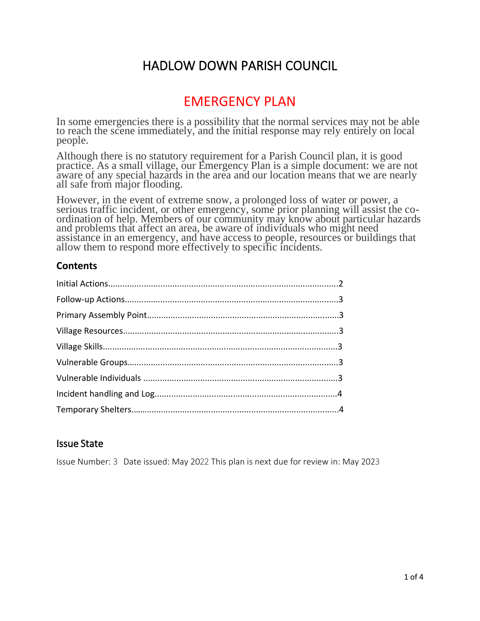# HADLOW DOWN PARISH COUNCIL

# EMERGENCY PLAN

In some emergencies there is a possibility that the normal services may not be able to reach the scene immediately, and the initial response may rely entirely on local people.

Although there is no statutory requirement for a Parish Council plan, it is good practice. As a small village, our Emergency Plan is a simple document: we are not aware of any special hazards in the area and our location means that we are nearly all safe from major flooding.

However, in the event of extreme snow, a prolonged loss of water or power, a serious traffic incident, or other emergency, some prior planning will assist the coordination of help. Members of our community may know about particular hazards and problems that affect an area, be aware of individuals who might need assistance in an emergency, and have access to people, resources or buildings that allow them to respond more effectively to specific incidents.

#### **Contents**

#### Issue State

Issue Number: 3 Date issued: May 2022 This plan is next due for review in: May 2023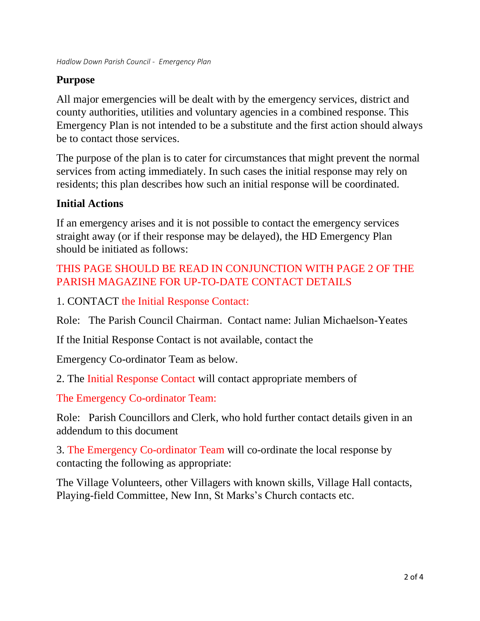# **Purpose**

All major emergencies will be dealt with by the emergency services, district and county authorities, utilities and voluntary agencies in a combined response. This Emergency Plan is not intended to be a substitute and the first action should always be to contact those services.

The purpose of the plan is to cater for circumstances that might prevent the normal services from acting immediately. In such cases the initial response may rely on residents; this plan describes how such an initial response will be coordinated.

# **Initial Actions**

If an emergency arises and it is not possible to contact the emergency services straight away (or if their response may be delayed), the HD Emergency Plan should be initiated as follows:

# THIS PAGE SHOULD BE READ IN CONJUNCTION WITH PAGE 2 OF THE PARISH MAGAZINE FOR UP-TO-DATE CONTACT DETAILS

1. CONTACT the Initial Response Contact:

Role: The Parish Council Chairman. Contact name: Julian Michaelson-Yeates

If the Initial Response Contact is not available, contact the

Emergency Co-ordinator Team as below.

2. The Initial Response Contact will contact appropriate members of

The Emergency Co-ordinator Team:

Role: Parish Councillors and Clerk, who hold further contact details given in an addendum to this document

3. The Emergency Co-ordinator Team will co-ordinate the local response by contacting the following as appropriate:

The Village Volunteers, other Villagers with known skills, Village Hall contacts, Playing-field Committee, New Inn, St Marks's Church contacts etc.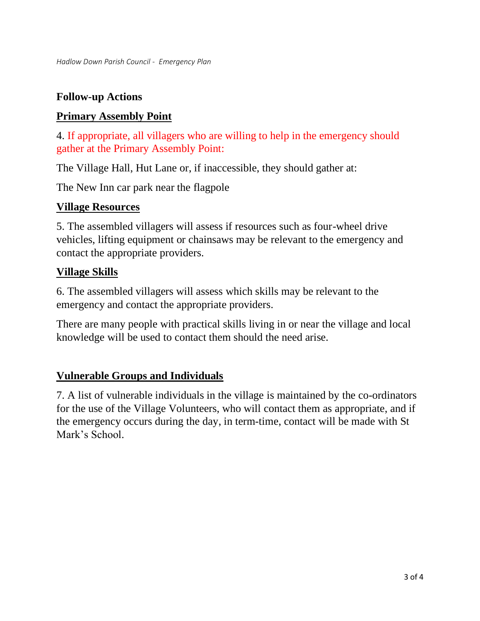# **Follow-up Actions**

## **Primary Assembly Point**

4. If appropriate, all villagers who are willing to help in the emergency should gather at the Primary Assembly Point:

The Village Hall, Hut Lane or, if inaccessible, they should gather at:

The New Inn car park near the flagpole

#### **Village Resources**

5. The assembled villagers will assess if resources such as four-wheel drive vehicles, lifting equipment or chainsaws may be relevant to the emergency and contact the appropriate providers.

#### **Village Skills**

6. The assembled villagers will assess which skills may be relevant to the emergency and contact the appropriate providers.

There are many people with practical skills living in or near the village and local knowledge will be used to contact them should the need arise.

### **Vulnerable Groups and Individuals**

7. A list of vulnerable individuals in the village is maintained by the co-ordinators for the use of the Village Volunteers, who will contact them as appropriate, and if the emergency occurs during the day, in term-time, contact will be made with St Mark's School.